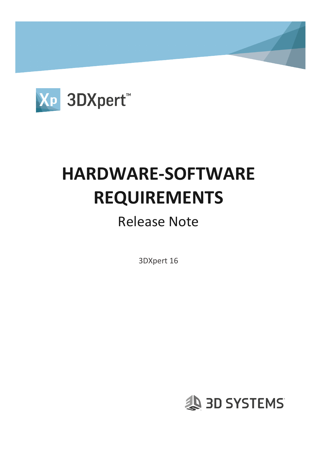

# **HARDWARE-SOFTWARE REQUIREMENTS**

## Release Note

3DXpert 16

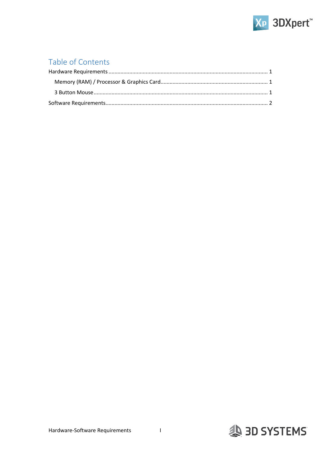

### Table of Contents

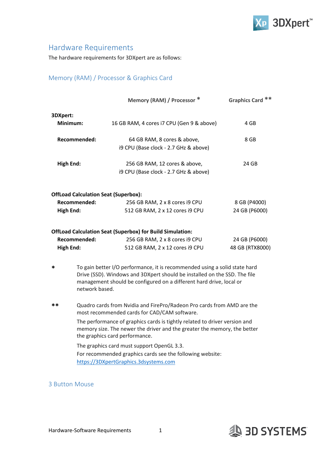

#### <span id="page-4-0"></span>Hardware Requirements

The hardware requirements for 3DXpert are as follows:

#### <span id="page-4-1"></span>Memory (RAM) / Processor & Graphics Card

|                  |                  | Memory (RAM) / Processor *                                                                                                                                                                                                                       | Graphics Card ** |  |
|------------------|------------------|--------------------------------------------------------------------------------------------------------------------------------------------------------------------------------------------------------------------------------------------------|------------------|--|
| 3DXpert:         |                  |                                                                                                                                                                                                                                                  |                  |  |
|                  | Minimum:         | 16 GB RAM, 4 cores i7 CPU (Gen 9 & above)                                                                                                                                                                                                        | 4 GB             |  |
|                  | Recommended:     | 64 GB RAM, 8 cores & above,                                                                                                                                                                                                                      | 8 GB             |  |
|                  |                  | i9 CPU (Base clock - 2.7 GHz & above)                                                                                                                                                                                                            |                  |  |
|                  | <b>High End:</b> | 256 GB RAM, 12 cores & above,                                                                                                                                                                                                                    | 24 GB            |  |
|                  |                  | i9 CPU (Base clock - 2.7 GHz & above)                                                                                                                                                                                                            |                  |  |
|                  |                  |                                                                                                                                                                                                                                                  |                  |  |
|                  |                  | <b>OffLoad Calculation Seat (Superbox):</b>                                                                                                                                                                                                      |                  |  |
| Recommended:     |                  | 256 GB RAM, 2 x 8 cores i9 CPU                                                                                                                                                                                                                   | 8 GB (P4000)     |  |
|                  | <b>High End:</b> | 512 GB RAM, 2 x 12 cores i9 CPU                                                                                                                                                                                                                  | 24 GB (P6000)    |  |
|                  |                  | <b>OffLoad Calculation Seat (Superbox) for Build Simulation:</b>                                                                                                                                                                                 |                  |  |
| Recommended:     |                  | 256 GB RAM, 2 x 8 cores i9 CPU                                                                                                                                                                                                                   | 24 GB (P6000)    |  |
| <b>High End:</b> |                  | 512 GB RAM, 2 x 12 cores i9 CPU                                                                                                                                                                                                                  | 48 GB (RTX8000)  |  |
| *                |                  | To gain better I/O performance, it is recommended using a solid state hard<br>Drive (SSD). Windows and 3DXpert should be installed on the SSD. The file<br>management should be configured on a different hard drive, local or<br>network based. |                  |  |
| **               |                  | Quadro cards from Nvidia and FirePro/Radeon Pro cards from AMD are the<br>most recommended cards for CAD/CAM software.                                                                                                                           |                  |  |
|                  |                  | The performance of graphics cards is tightly related to driver version and                                                                                                                                                                       |                  |  |

memory size. The newer the driver and the greater the memory, the better the graphics card performance. The graphics card must support OpenGL 3.3. For recommended graphics cards see the following website:

[https://3DXpertGraphics.3dsystems.com](https://3dxpertgraphics.3dsystems.com/)

#### <span id="page-4-2"></span>3 Button Mouse